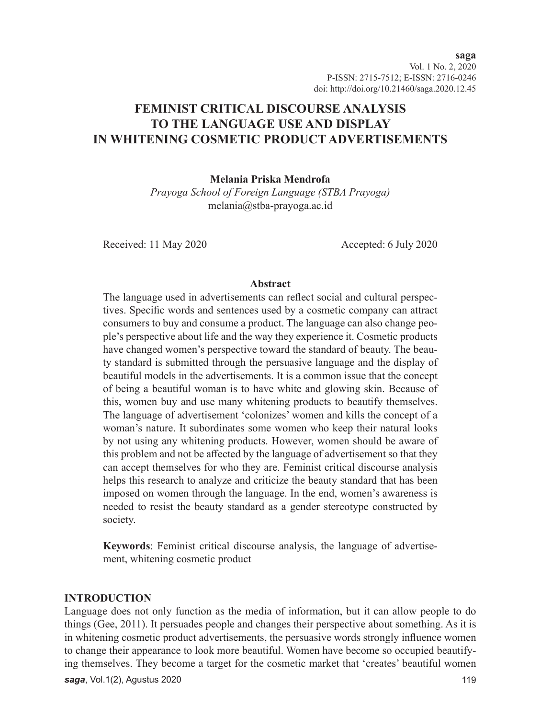Vol. 1 No. 2, 2020 P-ISSN: 2715-7512; E-ISSN: 2716-0246 doi: http://doi.org/10.21460/saga.2020.12.45

# **FEMINIST CRITICAL DISCOURSE ANALYSIS TO THE LANGUAGE USE AND DISPLAY IN WHITENING COSMETIC PRODUCT ADVERTISEMENTS**

**Melania Priska Mendrofa**

*Prayoga School of Foreign Language (STBA Prayoga)* melania@stba-prayoga.ac.id

Received: 11 May 2020 Accepted: 6 July 2020

#### **Abstract**

The language used in advertisements can reflect social and cultural perspectives. Specific words and sentences used by a cosmetic company can attract consumers to buy and consume a product. The language can also change people's perspective about life and the way they experience it. Cosmetic products have changed women's perspective toward the standard of beauty. The beauty standard is submitted through the persuasive language and the display of beautiful models in the advertisements. It is a common issue that the concept of being a beautiful woman is to have white and glowing skin. Because of this, women buy and use many whitening products to beautify themselves. The language of advertisement 'colonizes' women and kills the concept of a woman's nature. It subordinates some women who keep their natural looks by not using any whitening products. However, women should be aware of this problem and not be affected by the language of advertisement so that they can accept themselves for who they are. Feminist critical discourse analysis helps this research to analyze and criticize the beauty standard that has been imposed on women through the language. In the end, women's awareness is needed to resist the beauty standard as a gender stereotype constructed by society.

**Keywords**: Feminist critical discourse analysis, the language of advertisement, whitening cosmetic product

#### **INTRODUCTION**

Language does not only function as the media of information, but it can allow people to do things (Gee, 2011). It persuades people and changes their perspective about something. As it is in whitening cosmetic product advertisements, the persuasive words strongly influence women to change their appearance to look more beautiful. Women have become so occupied beautifying themselves. They become a target for the cosmetic market that 'creates' beautiful women

**saga**, Vol.1(2), Agustus 2020 119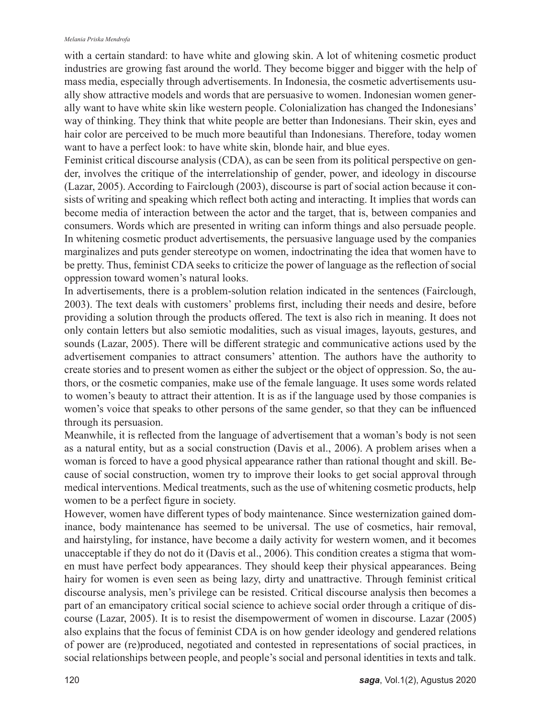#### *Melania Priska Mendrofa*

with a certain standard: to have white and glowing skin. A lot of whitening cosmetic product industries are growing fast around the world. They become bigger and bigger with the help of mass media, especially through advertisements. In Indonesia, the cosmetic advertisements usually show attractive models and words that are persuasive to women. Indonesian women generally want to have white skin like western people. Colonialization has changed the Indonesians' way of thinking. They think that white people are better than Indonesians. Their skin, eyes and hair color are perceived to be much more beautiful than Indonesians. Therefore, today women want to have a perfect look: to have white skin, blonde hair, and blue eyes.

Feminist critical discourse analysis (CDA), as can be seen from its political perspective on gender, involves the critique of the interrelationship of gender, power, and ideology in discourse (Lazar, 2005). According to Fairclough (2003), discourse is part of social action because it consists of writing and speaking which reflect both acting and interacting. It implies that words can become media of interaction between the actor and the target, that is, between companies and consumers. Words which are presented in writing can inform things and also persuade people. In whitening cosmetic product advertisements, the persuasive language used by the companies marginalizes and puts gender stereotype on women, indoctrinating the idea that women have to be pretty. Thus, feminist CDA seeks to criticize the power of language as the reflection of social oppression toward women's natural looks.

In advertisements, there is a problem-solution relation indicated in the sentences (Fairclough, 2003). The text deals with customers' problems first, including their needs and desire, before providing a solution through the products offered. The text is also rich in meaning. It does not only contain letters but also semiotic modalities, such as visual images, layouts, gestures, and sounds (Lazar, 2005). There will be different strategic and communicative actions used by the advertisement companies to attract consumers' attention. The authors have the authority to create stories and to present women as either the subject or the object of oppression. So, the authors, or the cosmetic companies, make use of the female language. It uses some words related to women's beauty to attract their attention. It is as if the language used by those companies is women's voice that speaks to other persons of the same gender, so that they can be influenced through its persuasion.

Meanwhile, it is reflected from the language of advertisement that a woman's body is not seen as a natural entity, but as a social construction (Davis et al., 2006). A problem arises when a woman is forced to have a good physical appearance rather than rational thought and skill. Because of social construction, women try to improve their looks to get social approval through medical interventions. Medical treatments, such as the use of whitening cosmetic products, help women to be a perfect figure in society.

However, women have different types of body maintenance. Since westernization gained dominance, body maintenance has seemed to be universal. The use of cosmetics, hair removal, and hairstyling, for instance, have become a daily activity for western women, and it becomes unacceptable if they do not do it (Davis et al., 2006). This condition creates a stigma that women must have perfect body appearances. They should keep their physical appearances. Being hairy for women is even seen as being lazy, dirty and unattractive. Through feminist critical discourse analysis, men's privilege can be resisted. Critical discourse analysis then becomes a part of an emancipatory critical social science to achieve social order through a critique of discourse (Lazar, 2005). It is to resist the disempowerment of women in discourse. Lazar (2005) also explains that the focus of feminist CDA is on how gender ideology and gendered relations of power are (re)produced, negotiated and contested in representations of social practices, in social relationships between people, and people's social and personal identities in texts and talk.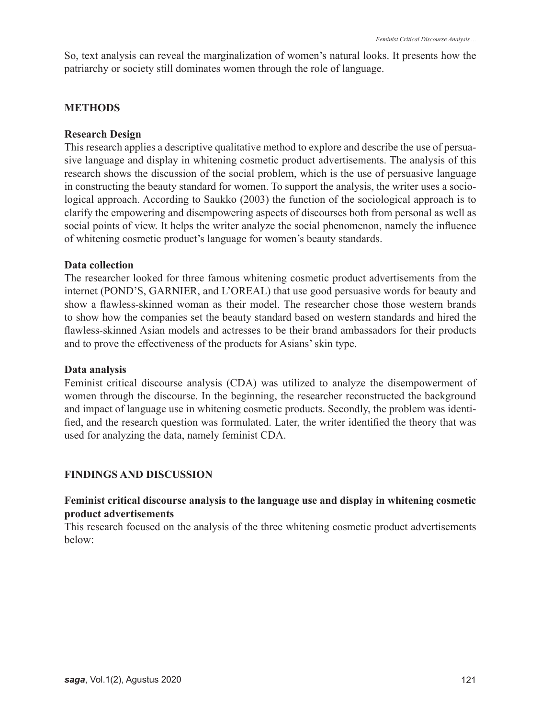So, text analysis can reveal the marginalization of women's natural looks. It presents how the patriarchy or society still dominates women through the role of language.

## **METHODS**

### **Research Design**

This research applies a descriptive qualitative method to explore and describe the use of persuasive language and display in whitening cosmetic product advertisements. The analysis of this research shows the discussion of the social problem, which is the use of persuasive language in constructing the beauty standard for women. To support the analysis, the writer uses a sociological approach. According to Saukko (2003) the function of the sociological approach is to clarify the empowering and disempowering aspects of discourses both from personal as well as social points of view. It helps the writer analyze the social phenomenon, namely the influence of whitening cosmetic product's language for women's beauty standards.

### **Data collection**

The researcher looked for three famous whitening cosmetic product advertisements from the internet (POND'S, GARNIER, and L'OREAL) that use good persuasive words for beauty and show a flawless-skinned woman as their model. The researcher chose those western brands to show how the companies set the beauty standard based on western standards and hired the flawless-skinned Asian models and actresses to be their brand ambassadors for their products and to prove the effectiveness of the products for Asians' skin type.

### **Data analysis**

Feminist critical discourse analysis (CDA) was utilized to analyze the disempowerment of women through the discourse. In the beginning, the researcher reconstructed the background and impact of language use in whitening cosmetic products. Secondly, the problem was identified, and the research question was formulated. Later, the writer identified the theory that was used for analyzing the data, namely feminist CDA.

### **FINDINGS AND DISCUSSION**

## **Feminist critical discourse analysis to the language use and display in whitening cosmetic product advertisements**

This research focused on the analysis of the three whitening cosmetic product advertisements below: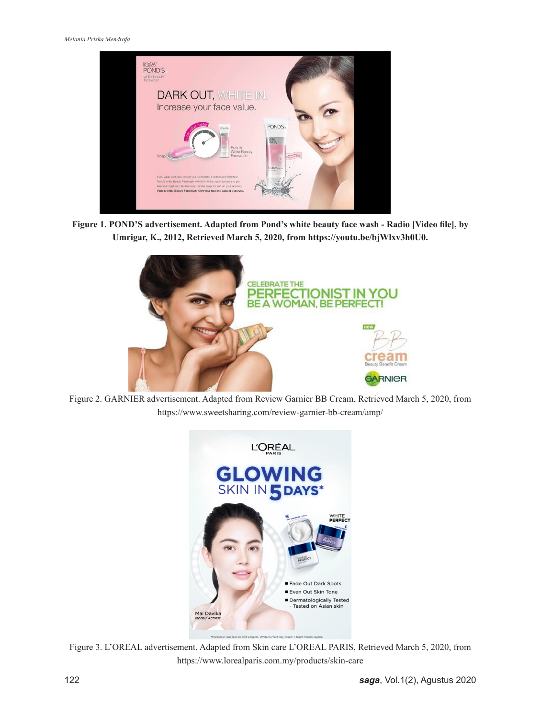

**Figure 1. POND'S advertisement. Adapted from Pond's white beauty face wash - Radio [Video file], by Umrigar, K., 2012, Retrieved March 5, 2020, from https://youtu.be/bjWlxv3h0U0.**



Figure 2. GARNIER advertisement. Adapted from Review Garnier BB Cream, Retrieved March 5, 2020, from https://www.sweetsharing.com/review-garnier-bb-cream/amp/



Figure 3. L'OREAL advertisement. Adapted from Skin care L'OREAL PARIS, Retrieved March 5, 2020, from https://www.lorealparis.com.my/products/skin-care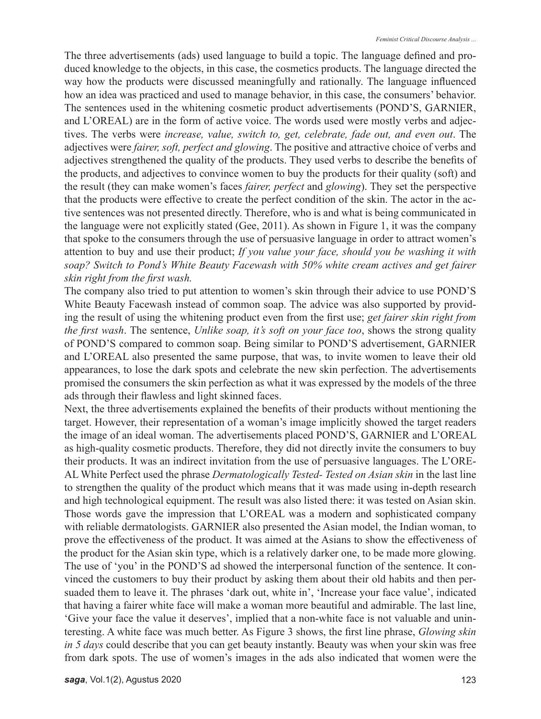The three advertisements (ads) used language to build a topic. The language defined and produced knowledge to the objects, in this case, the cosmetics products. The language directed the way how the products were discussed meaningfully and rationally. The language influenced how an idea was practiced and used to manage behavior, in this case, the consumers' behavior. The sentences used in the whitening cosmetic product advertisements (POND'S, GARNIER, and L'OREAL) are in the form of active voice. The words used were mostly verbs and adjectives. The verbs were *increase, value, switch to, get, celebrate, fade out, and even out*. The adjectives were *fairer, soft, perfect and glowing*. The positive and attractive choice of verbs and adjectives strengthened the quality of the products. They used verbs to describe the benefits of the products, and adjectives to convince women to buy the products for their quality (soft) and the result (they can make women's faces *fairer, perfect* and *glowing*). They set the perspective that the products were effective to create the perfect condition of the skin. The actor in the active sentences was not presented directly. Therefore, who is and what is being communicated in the language were not explicitly stated (Gee, 2011). As shown in Figure 1, it was the company that spoke to the consumers through the use of persuasive language in order to attract women's attention to buy and use their product; *If you value your face, should you be washing it with soap? Switch to Pond's White Beauty Facewash with 50% white cream actives and get fairer skin right from the first wash.*

The company also tried to put attention to women's skin through their advice to use POND'S White Beauty Facewash instead of common soap. The advice was also supported by providing the result of using the whitening product even from the first use; *get fairer skin right from the first wash*. The sentence, *Unlike soap, it's soft on your face too*, shows the strong quality of POND'S compared to common soap. Being similar to POND'S advertisement, GARNIER and L'OREAL also presented the same purpose, that was, to invite women to leave their old appearances, to lose the dark spots and celebrate the new skin perfection. The advertisements promised the consumers the skin perfection as what it was expressed by the models of the three ads through their flawless and light skinned faces.

Next, the three advertisements explained the benefits of their products without mentioning the target. However, their representation of a woman's image implicitly showed the target readers the image of an ideal woman. The advertisements placed POND'S, GARNIER and L'OREAL as high-quality cosmetic products. Therefore, they did not directly invite the consumers to buy their products. It was an indirect invitation from the use of persuasive languages. The L'ORE-AL White Perfect used the phrase *Dermatologically Tested- Tested on Asian skin* in the last line to strengthen the quality of the product which means that it was made using in-depth research and high technological equipment. The result was also listed there: it was tested on Asian skin. Those words gave the impression that L'OREAL was a modern and sophisticated company with reliable dermatologists. GARNIER also presented the Asian model, the Indian woman, to prove the effectiveness of the product. It was aimed at the Asians to show the effectiveness of the product for the Asian skin type, which is a relatively darker one, to be made more glowing. The use of 'you' in the POND'S ad showed the interpersonal function of the sentence. It convinced the customers to buy their product by asking them about their old habits and then persuaded them to leave it. The phrases 'dark out, white in', 'Increase your face value', indicated that having a fairer white face will make a woman more beautiful and admirable. The last line, 'Give your face the value it deserves', implied that a non-white face is not valuable and uninteresting. A white face was much better. As Figure 3 shows, the first line phrase, *Glowing skin in 5 days* could describe that you can get beauty instantly. Beauty was when your skin was free from dark spots. The use of women's images in the ads also indicated that women were the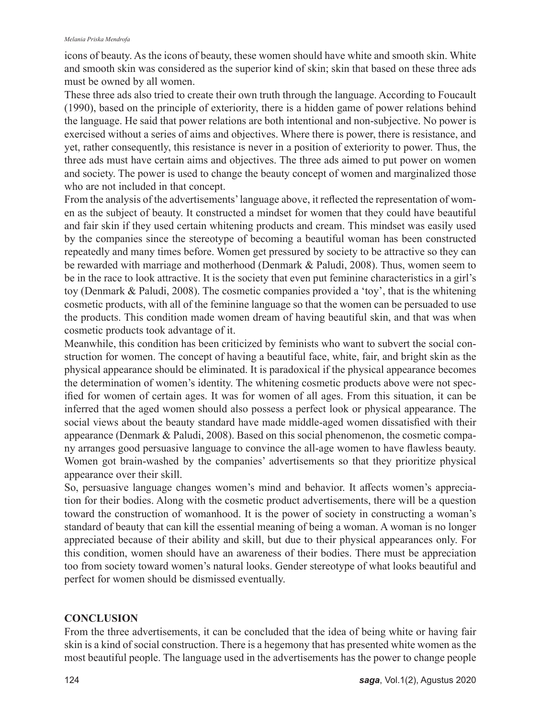#### *Melania Priska Mendrofa*

icons of beauty. As the icons of beauty, these women should have white and smooth skin. White and smooth skin was considered as the superior kind of skin; skin that based on these three ads must be owned by all women.

These three ads also tried to create their own truth through the language. According to Foucault (1990), based on the principle of exteriority, there is a hidden game of power relations behind the language. He said that power relations are both intentional and non-subjective. No power is exercised without a series of aims and objectives. Where there is power, there is resistance, and yet, rather consequently, this resistance is never in a position of exteriority to power. Thus, the three ads must have certain aims and objectives. The three ads aimed to put power on women and society. The power is used to change the beauty concept of women and marginalized those who are not included in that concept.

From the analysis of the advertisements' language above, it reflected the representation of women as the subject of beauty. It constructed a mindset for women that they could have beautiful and fair skin if they used certain whitening products and cream. This mindset was easily used by the companies since the stereotype of becoming a beautiful woman has been constructed repeatedly and many times before. Women get pressured by society to be attractive so they can be rewarded with marriage and motherhood (Denmark & Paludi, 2008). Thus, women seem to be in the race to look attractive. It is the society that even put feminine characteristics in a girl's toy (Denmark & Paludi, 2008). The cosmetic companies provided a 'toy', that is the whitening cosmetic products, with all of the feminine language so that the women can be persuaded to use the products. This condition made women dream of having beautiful skin, and that was when cosmetic products took advantage of it.

Meanwhile, this condition has been criticized by feminists who want to subvert the social construction for women. The concept of having a beautiful face, white, fair, and bright skin as the physical appearance should be eliminated. It is paradoxical if the physical appearance becomes the determination of women's identity. The whitening cosmetic products above were not specified for women of certain ages. It was for women of all ages. From this situation, it can be inferred that the aged women should also possess a perfect look or physical appearance. The social views about the beauty standard have made middle-aged women dissatisfied with their appearance (Denmark & Paludi, 2008). Based on this social phenomenon, the cosmetic company arranges good persuasive language to convince the all-age women to have flawless beauty. Women got brain-washed by the companies' advertisements so that they prioritize physical appearance over their skill.

So, persuasive language changes women's mind and behavior. It affects women's appreciation for their bodies. Along with the cosmetic product advertisements, there will be a question toward the construction of womanhood. It is the power of society in constructing a woman's standard of beauty that can kill the essential meaning of being a woman. A woman is no longer appreciated because of their ability and skill, but due to their physical appearances only. For this condition, women should have an awareness of their bodies. There must be appreciation too from society toward women's natural looks. Gender stereotype of what looks beautiful and perfect for women should be dismissed eventually.

# **CONCLUSION**

From the three advertisements, it can be concluded that the idea of being white or having fair skin is a kind of social construction. There is a hegemony that has presented white women as the most beautiful people. The language used in the advertisements has the power to change people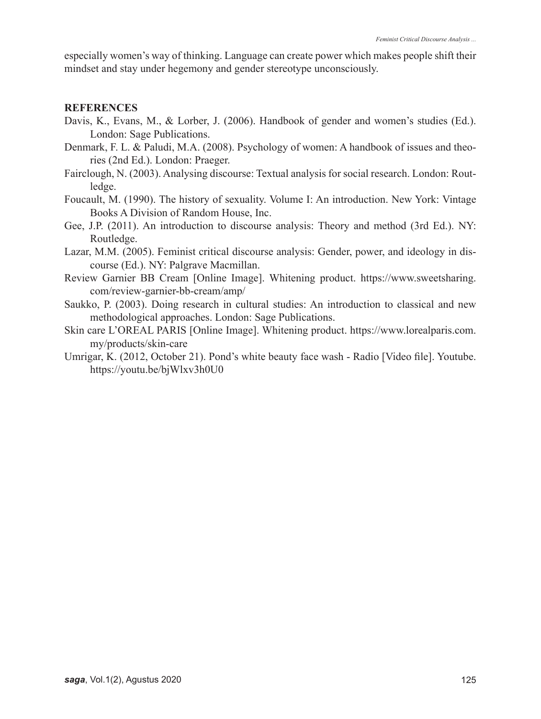especially women's way of thinking. Language can create power which makes people shift their mindset and stay under hegemony and gender stereotype unconsciously.

#### **REFERENCES**

- Davis, K., Evans, M., & Lorber, J. (2006). Handbook of gender and women's studies (Ed.). London: Sage Publications.
- Denmark, F. L. & Paludi, M.A. (2008). Psychology of women: A handbook of issues and theories (2nd Ed.). London: Praeger.
- Fairclough, N. (2003). Analysing discourse: Textual analysis for social research. London: Routledge.
- Foucault, M. (1990). The history of sexuality. Volume I: An introduction. New York: Vintage Books A Division of Random House, Inc.
- Gee, J.P. (2011). An introduction to discourse analysis: Theory and method (3rd Ed.). NY: Routledge.
- Lazar, M.M. (2005). Feminist critical discourse analysis: Gender, power, and ideology in discourse (Ed.). NY: Palgrave Macmillan.
- Review Garnier BB Cream [Online Image]. Whitening product. https://www.sweetsharing. com/review-garnier-bb-cream/amp/
- Saukko, P. (2003). Doing research in cultural studies: An introduction to classical and new methodological approaches. London: Sage Publications.
- Skin care L'OREAL PARIS [Online Image]. Whitening product. https://www.lorealparis.com. my/products/skin-care
- Umrigar, K. (2012, October 21). Pond's white beauty face wash Radio [Video file]. Youtube. https://youtu.be/bjWlxv3h0U0